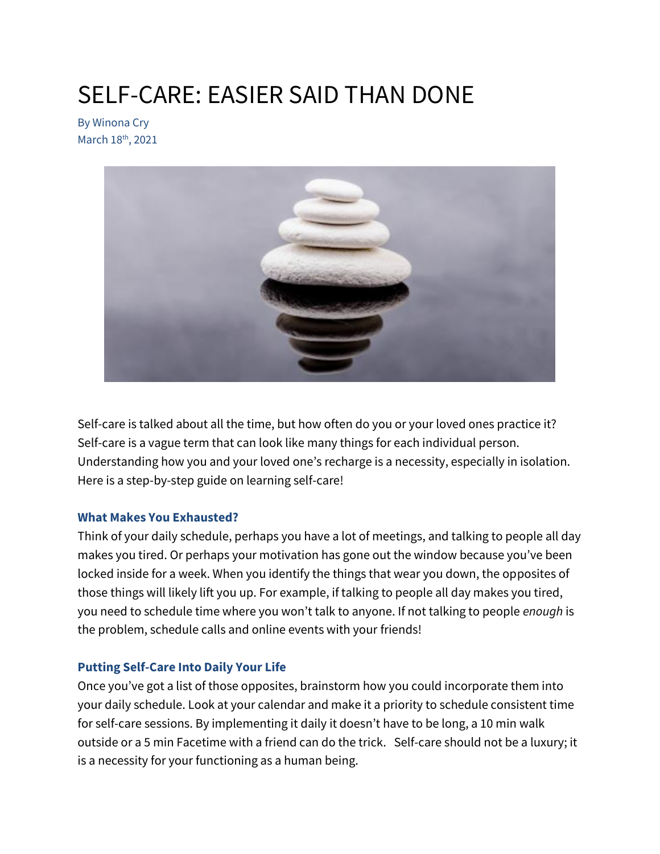# SELF-CARE: EASIER SAID THAN DONE

By Winona Cry March 18<sup>th</sup>, 2021



Self-care is talked about all the time, but how often do you or your loved ones practice it? Self-care is a vague term that can look like many things for each individual person. Understanding how you and your loved one's recharge is a necessity, especially in isolation. Here is a step-by-step guide on learning self-care!

# **What Makes You Exhausted?**

Think of your daily schedule, perhaps you have a lot of meetings, and talking to people all day makes you tired. Or perhaps your motivation has gone out the window because you've been locked inside for a week. When you identify the things that wear you down, the opposites of those things will likely lift you up. For example, if talking to people all day makes you tired, you need to schedule time where you won't talk to anyone. If not talking to people *enough* is the problem, schedule calls and online events with your friends!

# **Putting Self-Care Into Daily Your Life**

Once you've got a list of those opposites, brainstorm how you could incorporate them into your daily schedule. Look at your calendar and make it a priority to schedule consistent time for self-care sessions. By implementing it daily it doesn't have to be long, a 10 min walk outside or a 5 min Facetime with a friend can do the trick. Self-care should not be a luxury; it is a necessity for your functioning as a human being.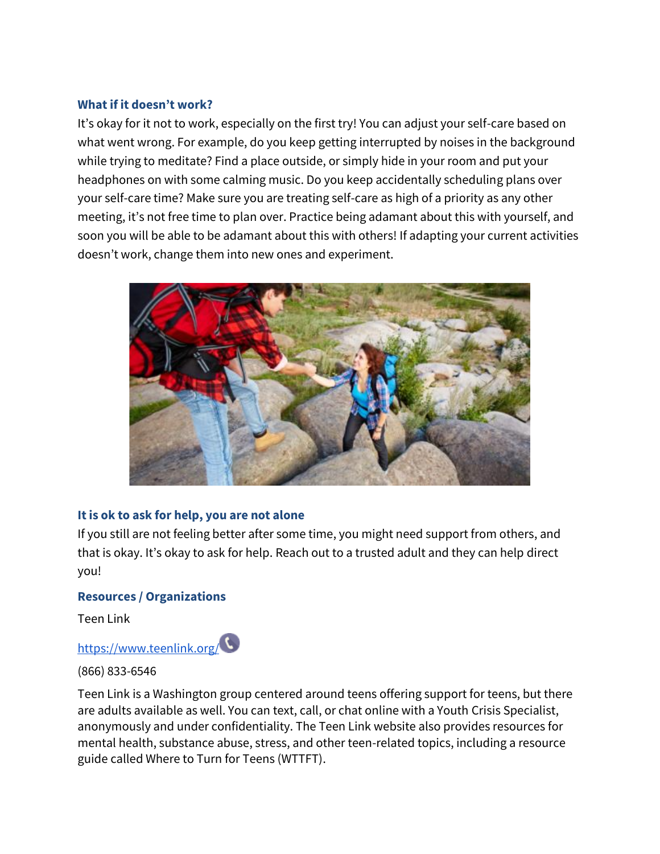#### **What if it doesn't work?**

It's okay for it not to work, especially on the first try! You can adjust your self-care based on what went wrong. For example, do you keep getting interrupted by noises in the background while trying to meditate? Find a place outside, or simply hide in your room and put your headphones on with some calming music. Do you keep accidentally scheduling plans over your self-care time? Make sure you are treating self-care as high of a priority as any other meeting, it's not free time to plan over. Practice being adamant about this with yourself, and soon you will be able to be adamant about this with others! If adapting your current activities doesn't work, change them into new ones and experiment.



# **It is ok to ask for help, you are not alone**

If you still are not feeling better after some time, you might need support from others, and that is okay. It's okay to ask for help. Reach out to a trusted adult and they can help direct you!

# **Resources / Organizations**

Teen Link

# <https://www.teenlink.org/>

(866) 833-6546

Teen Link is a Washington group centered around teens offering support for teens, but there are adults available as well. You can text, call, or chat online with a Youth Crisis Specialist, anonymously and under confidentiality. The Teen Link website also provides resources for mental health, substance abuse, stress, and other teen-related topics, including a resource guide called Where to Turn for Teens (WTTFT).